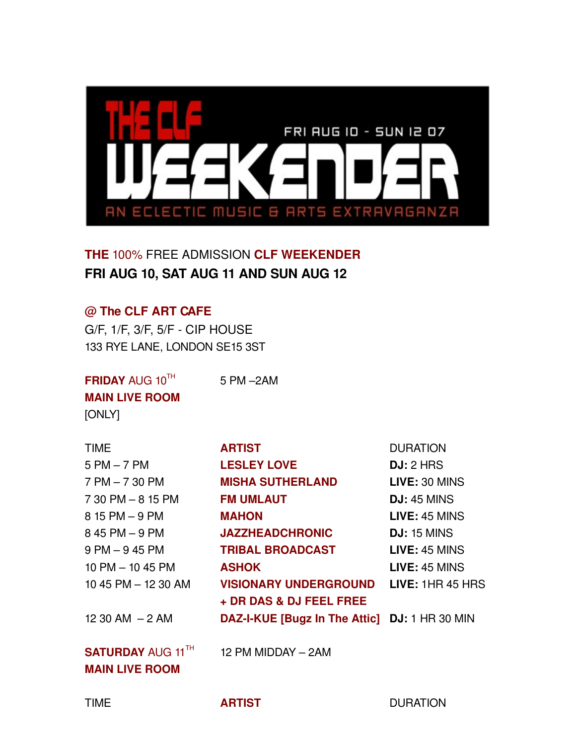

**THE** 100% FREE ADMISSION **CLF WEEKENDER FRI AUG 10, SAT AUG 11 AND SUN AUG 12**

5 PM –2AM

### **@ The CLF ART CAFE**

G/F, 1/F, 3/F, 5/F CIP HOUSE 133 RYE LANE, LONDON SE15 3ST

**FRIDAY** AUG 10<sup>TH</sup> **MAIN LIVE ROOM**  [ONLY]

| <b>TIME</b>          | <b>ARTIST</b>                                 | <b>DURATION</b>    |
|----------------------|-----------------------------------------------|--------------------|
| $5$ PM $-$ 7 PM      | <b>LESLEY LOVE</b>                            | DJ: 2 HRS          |
| $7$ PM $-$ 7 30 PM   | <b>MISHA SUTHERLAND</b>                       | LIVE: 30 MINS      |
| $730$ PM $-815$ PM   | <b>FM UMLAUT</b>                              | <b>DJ:</b> 45 MINS |
| 8 15 PM - 9 PM       | <b>MAHON</b>                                  | LIVE: 45 MINS      |
| 8 45 PM - 9 PM       | <b>JAZZHEADCHRONIC</b>                        | <b>DJ:</b> 15 MINS |
| $9$ PM $-9$ 45 PM    | <b>TRIBAL BROADCAST</b>                       | LIVE: 45 MINS      |
| $10$ PM $-$ 10 45 PM | <b>ASHOK</b>                                  | LIVE: 45 MINS      |
| 10 45 PM - 12 30 AM  | <b>VISIONARY UNDERGROUND</b>                  | LIVE: 1HR 45 HRS   |
|                      | + DR DAS & DJ FEEL FREE                       |                    |
| $1230$ AM $-2$ AM    | DAZ-I-KUE [Bugz In The Attic] DJ: 1 HR 30 MIN |                    |
|                      |                                               |                    |

**SATURDAY** AUG 11 TH **MAIN LIVE ROOM**

12 PM MIDDAY – 2AM

TIME **ARTIST** DURATION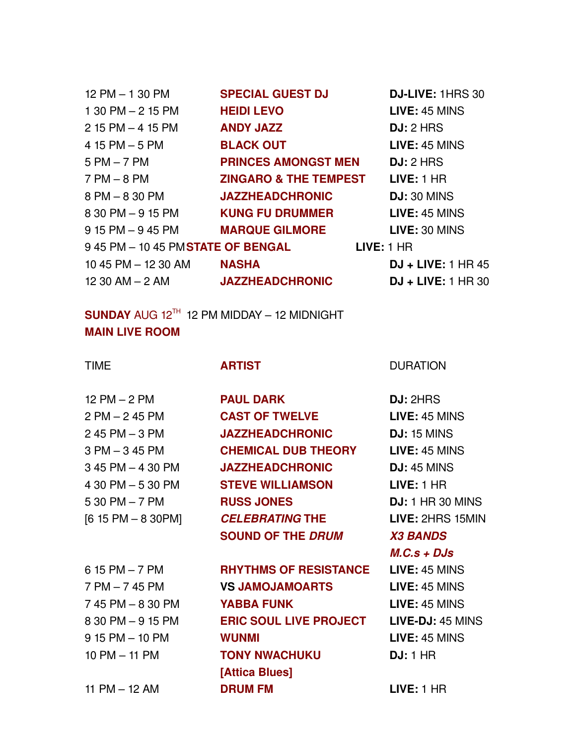| 12 PM – 1 30 PM                        | <b>SPECIAL GUEST DJ</b>          | DJ-LIVE: 1HRS 30     |
|----------------------------------------|----------------------------------|----------------------|
| $130$ PM $- 215$ PM                    | <b>HEIDI LEVO</b>                | LIVE: 45 MINS        |
| 2 15 PM – 4 15 PM                      | <b>ANDY JAZZ</b>                 | DJ: 2 HRS            |
| 4 15 PM – 5 PM                         | <b>BLACK OUT</b>                 | LIVE: 45 MINS        |
| 5 PM – 7 PM                            | <b>PRINCES AMONGST MEN</b>       | DJ: 2 HRS            |
| 7 PM – 8 PM                            | <b>ZINGARO &amp; THE TEMPEST</b> | LIVE: 1 HR           |
| 8 PM – 8 30 PM                         | <b>JAZZHEADCHRONIC</b>           | <b>DJ: 30 MINS</b>   |
| 8 30 PM - 9 15 PM                      | <b>KUNG FU DRUMMER</b>           | LIVE: 45 MINS        |
| 9 15 PM – 9 45 PM                      | <b>MARQUE GILMORE</b>            | LIVE: 30 MINS        |
|                                        |                                  | LIVE: 1 HR           |
|                                        | <b>NASHA</b>                     | $DJ + LIVE: 1 HR 45$ |
| 12 30 AM - 2 AM <b>JAZZHEADCHRONIC</b> |                                  | $DJ + LIVE: 1 HR 30$ |
|                                        |                                  |                      |

 $\boldsymbol{\mathsf{SUNDAY}}$  aug 12 <sup>th</sup> 12 PM midday - 12 midnight **MAIN LIVE ROOM**

12 PM – 2 PM **PAUL DARK DJ:** 2HRS

 PM – 2 45 PM **CAST OF TWELVE LIVE:** 45 MINS 45 PM – 3 PM **JAZZHEADCHRONIC DJ:** 15 MINS PM – 3 45 PM **CHEMICAL DUB THEORY LIVE:** 45 MINS 45 PM – 4 30 PM **JAZZHEADCHRONIC DJ:** 45 MINS 30 PM – 5 30 PM **STEVE WILLIAMSON LIVE:** 1 HR 30 PM – 7 PM **RUSS JONES DJ:** 1 HR 30 MINS [6 15 PM – 8 30PM] *CELEBRATING* **THE LIVE:** 2HRS 15MIN **SOUND OF THE** *DRUM X3 BANDS* 

15 PM – 7 PM **RHYTHMS OF RESISTANCE LIVE:** 45 MINS

 PM – 7 45 PM **VS JAMOJAMOARTS LIVE:** 45 MINS 45 PM – 8 30 PM **YABBA FUNK LIVE:** 45 MINS 8 30 PM - 9 15 PM **ERIC SOUL LIVE PROJECT LIVE-DJ:** 45 MINS 15 PM – 10 PM **WUNMI LIVE:** 45 MINS PM – 11 PM **TONY NWACHUKU DJ:** 1 HR **[Attica Blues]** 11 PM – 12 AM **DRUM FM LIVE:** 1 HR

### TIME **ARTIST**  DURATION

*M.C.s + DJs*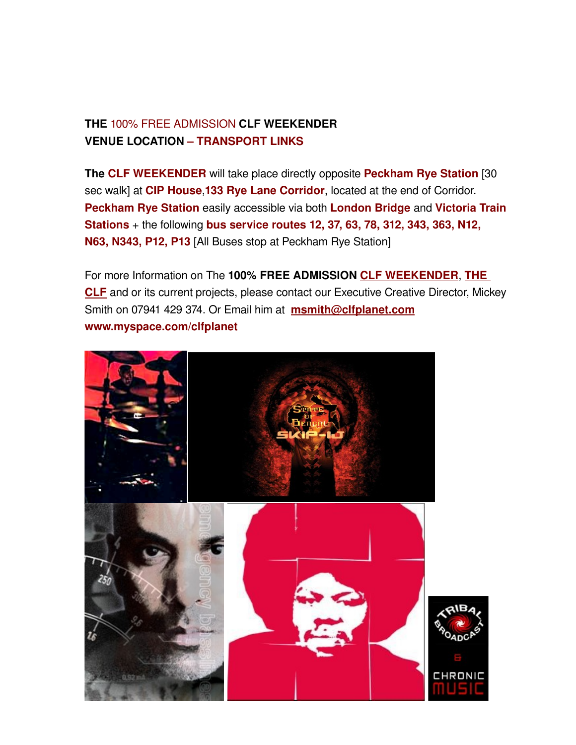## **THE** 100% FREE ADMISSION **CLF WEEKENDER VENUE LOCATION – TRANSPORT LINKS**

**The CLF WEEKENDER** will take place directly opposite **Peckham Rye Station** [30 sec walk] at **CIP House**,**133 Rye Lane Corridor**, located at the end of Corridor. **Peckham Rye Station** easily accessible via both **London Bridge** and **Victoria Train Stations** + the following **bus service routes 12, 37, 63, 78, 312, 343, 363, N12, N63, N343, P12, P13** [All Buses stop at Peckham Rye Station]

For more Information on The **100% FREE ADMISSION [CLF WEEKENDER](http://www.myspace.com/clfplanet)**, **[THE](http://www.clfplanet.com/) [CLF](http://www.clfplanet.com/)** and or its current projects, please contact our Executive Creative Director, Mickey Smith on 07941 429 374. Or Email him at **[msmith@clfplanet.com](mailto:msmith@clfplanet.com) www.myspace.com/clfplanet**